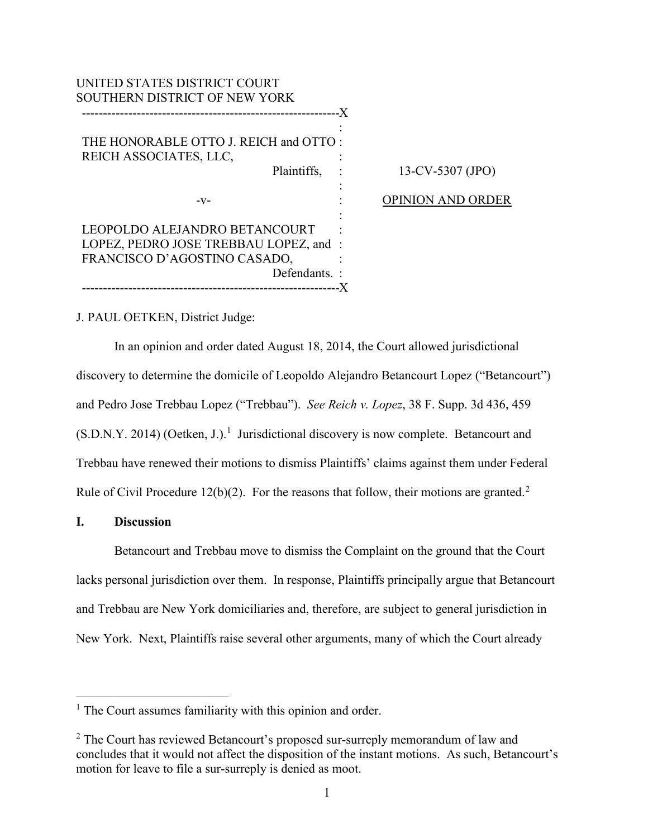| UNITED STATES DISTRICT COURT<br>SOUTHERN DISTRICT OF NEW YORK                                                                                           |                          |
|---------------------------------------------------------------------------------------------------------------------------------------------------------|--------------------------|
| THE HONORABLE OTTO J. REICH and OTTO:<br>REICH ASSOCIATES, LLC,<br>Plaintiffs,                                                                          | -X<br>13-CV-5307 (JPO)   |
| $-V-$                                                                                                                                                   | <b>OPINION AND ORDER</b> |
| LEOPOLDO ALEJANDRO BETANCOURT<br>LOPEZ, PEDRO JOSE TREBBAU LOPEZ, and:<br>FRANCISCO D'AGOSTINO CASADO,<br>Defendants.:<br>----------------------------- |                          |

# J. PAUL OETKEN, District Judge:

 In an opinion and order dated August 18, 2014, the Court allowed jurisdictional discovery to determine the domicile of Leopoldo Alejandro Betancourt Lopez ("Betancourt") and Pedro Jose Trebbau Lopez ("Trebbau"). *See Reich v. Lopez*, 38 F. Supp. 3d 436, 459  $(S.D.N.Y. 2014)$  $(S.D.N.Y. 2014)$  $(S.D.N.Y. 2014)$  (Oetken, J.).<sup>1</sup> Jurisdictional discovery is now complete. Betancourt and Trebbau have renewed their motions to dismiss Plaintiffs' claims against them under Federal Rule of Civil Procedure 1[2](#page-0-1)(b)(2). For the reasons that follow, their motions are granted.<sup>2</sup>

## **I. Discussion**

 $\overline{a}$ 

Betancourt and Trebbau move to dismiss the Complaint on the ground that the Court lacks personal jurisdiction over them. In response, Plaintiffs principally argue that Betancourt and Trebbau are New York domiciliaries and, therefore, are subject to general jurisdiction in New York. Next, Plaintiffs raise several other arguments, many of which the Court already

<span id="page-0-0"></span><sup>&</sup>lt;sup>1</sup> The Court assumes familiarity with this opinion and order.

<span id="page-0-1"></span><sup>&</sup>lt;sup>2</sup> The Court has reviewed Betancourt's proposed sur-surreply memorandum of law and concludes that it would not affect the disposition of the instant motions. As such, Betancourt's motion for leave to file a sur-surreply is denied as moot.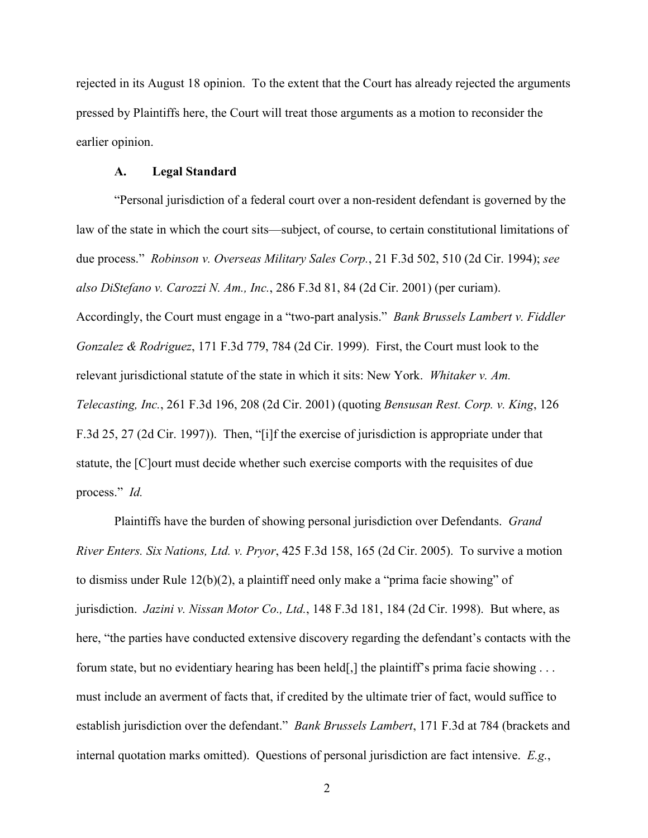rejected in its August 18 opinion. To the extent that the Court has already rejected the arguments pressed by Plaintiffs here, the Court will treat those arguments as a motion to reconsider the earlier opinion.

### **A. Legal Standard**

"Personal jurisdiction of a federal court over a non-resident defendant is governed by the law of the state in which the court sits—subject, of course, to certain constitutional limitations of due process." *Robinson v. Overseas Military Sales Corp.*, 21 F.3d 502, 510 (2d Cir. 1994); *see also DiStefano v. Carozzi N. Am., Inc.*, 286 F.3d 81, 84 (2d Cir. 2001) (per curiam). Accordingly, the Court must engage in a "two-part analysis." *Bank Brussels Lambert v. Fiddler Gonzalez & Rodriguez*, 171 F.3d 779, 784 (2d Cir. 1999). First, the Court must look to the relevant jurisdictional statute of the state in which it sits: New York. *Whitaker v. Am. Telecasting, Inc.*, 261 F.3d 196, 208 (2d Cir. 2001) (quoting *Bensusan Rest. Corp. v. King*, 126 F.3d 25, 27 (2d Cir. 1997)). Then, "[i]f the exercise of jurisdiction is appropriate under that statute, the [C]ourt must decide whether such exercise comports with the requisites of due process." *Id.*

 Plaintiffs have the burden of showing personal jurisdiction over Defendants. *Grand River Enters. Six Nations, Ltd. v. Pryor*, 425 F.3d 158, 165 (2d Cir. 2005). To survive a motion to dismiss under Rule 12(b)(2), a plaintiff need only make a "prima facie showing" of jurisdiction. *Jazini v. Nissan Motor Co., Ltd.*, 148 F.3d 181, 184 (2d Cir. 1998). But where, as here, "the parties have conducted extensive discovery regarding the defendant's contacts with the forum state, but no evidentiary hearing has been held[,] the plaintiff's prima facie showing . . . must include an averment of facts that, if credited by the ultimate trier of fact, would suffice to establish jurisdiction over the defendant." *Bank Brussels Lambert*, 171 F.3d at 784 (brackets and internal quotation marks omitted). Questions of personal jurisdiction are fact intensive. *E.g.*,

2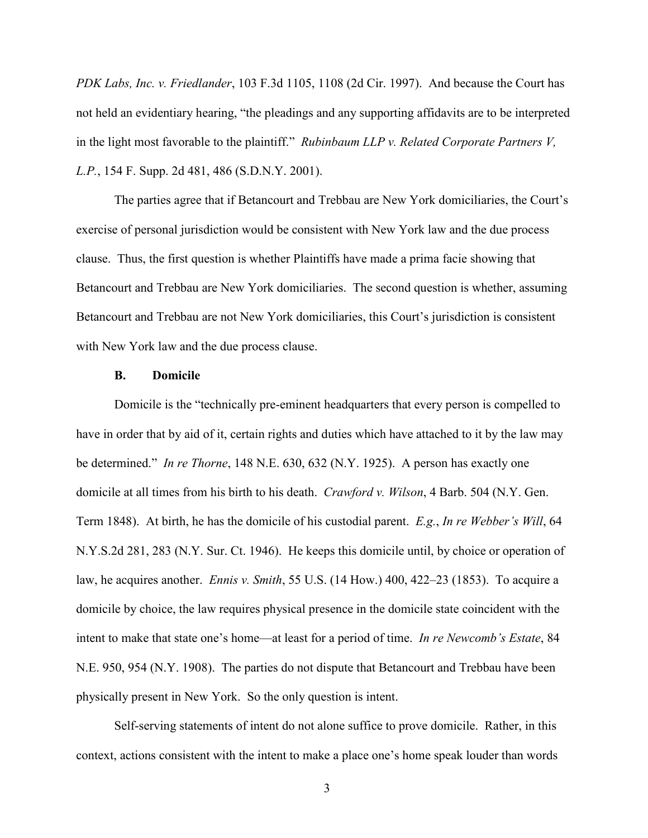*PDK Labs, Inc. v. Friedlander*, 103 F.3d 1105, 1108 (2d Cir. 1997). And because the Court has not held an evidentiary hearing, "the pleadings and any supporting affidavits are to be interpreted in the light most favorable to the plaintiff." *Rubinbaum LLP v. Related Corporate Partners V, L.P.*, 154 F. Supp. 2d 481, 486 (S.D.N.Y. 2001).

The parties agree that if Betancourt and Trebbau are New York domiciliaries, the Court's exercise of personal jurisdiction would be consistent with New York law and the due process clause. Thus, the first question is whether Plaintiffs have made a prima facie showing that Betancourt and Trebbau are New York domiciliaries. The second question is whether, assuming Betancourt and Trebbau are not New York domiciliaries, this Court's jurisdiction is consistent with New York law and the due process clause.

### **B. Domicile**

Domicile is the "technically pre-eminent headquarters that every person is compelled to have in order that by aid of it, certain rights and duties which have attached to it by the law may be determined." *In re Thorne*, 148 N.E. 630, 632 (N.Y. 1925). A person has exactly one domicile at all times from his birth to his death. *Crawford v. Wilson*, 4 Barb. 504 (N.Y. Gen. Term 1848). At birth, he has the domicile of his custodial parent. *E.g.*, *In re Webber's Will*, 64 N.Y.S.2d 281, 283 (N.Y. Sur. Ct. 1946). He keeps this domicile until, by choice or operation of law, he acquires another. *Ennis v. Smith*, 55 U.S. (14 How.) 400, 422–23 (1853). To acquire a domicile by choice, the law requires physical presence in the domicile state coincident with the intent to make that state one's home—at least for a period of time. *In re Newcomb's Estate*, 84 N.E. 950, 954 (N.Y. 1908). The parties do not dispute that Betancourt and Trebbau have been physically present in New York. So the only question is intent.

Self-serving statements of intent do not alone suffice to prove domicile. Rather, in this context, actions consistent with the intent to make a place one's home speak louder than words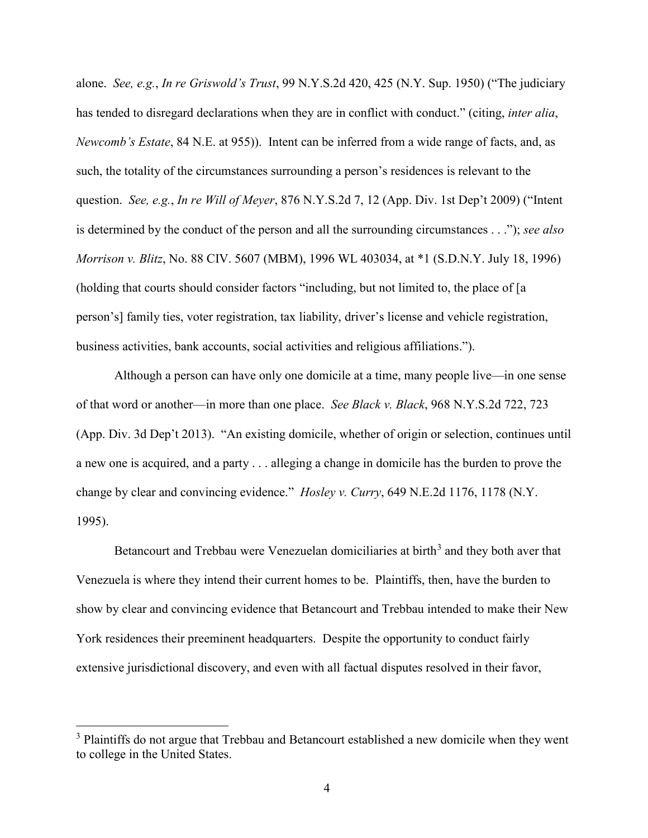alone. *See, e.g.*, *In re Griswold's Trust*, 99 N.Y.S.2d 420, 425 (N.Y. Sup. 1950) ("The judiciary has tended to disregard declarations when they are in conflict with conduct." (citing, *inter alia*, *Newcomb's Estate*, 84 N.E. at 955)). Intent can be inferred from a wide range of facts, and, as such, the totality of the circumstances surrounding a person's residences is relevant to the question. *See, e.g.*, *In re Will of Meyer*, 876 N.Y.S.2d 7, 12 (App. Div. 1st Dep't 2009) ("Intent is determined by the conduct of the person and all the surrounding circumstances . . ."); *see also Morrison v. Blitz*, No. 88 CIV. 5607 (MBM), 1996 WL 403034, at \*1 (S.D.N.Y. July 18, 1996) (holding that courts should consider factors "including, but not limited to, the place of [a person's] family ties, voter registration, tax liability, driver's license and vehicle registration, business activities, bank accounts, social activities and religious affiliations.").

Although a person can have only one domicile at a time, many people live—in one sense of that word or another—in more than one place. *See Black v. Black*, 968 N.Y.S.2d 722, 723 (App. Div. 3d Dep't 2013). "An existing domicile, whether of origin or selection, continues until a new one is acquired, and a party . . . alleging a change in domicile has the burden to prove the change by clear and convincing evidence." *Hosley v. Curry*, 649 N.E.2d 1176, 1178 (N.Y. 1995).

Betancourt and Trebbau were Venezuelan domiciliaries at birth<sup>[3](#page-3-0)</sup> and they both aver that Venezuela is where they intend their current homes to be. Plaintiffs, then, have the burden to show by clear and convincing evidence that Betancourt and Trebbau intended to make their New York residences their preeminent headquarters. Despite the opportunity to conduct fairly extensive jurisdictional discovery, and even with all factual disputes resolved in their favor,

 $\overline{a}$ 

<span id="page-3-0"></span><sup>&</sup>lt;sup>3</sup> Plaintiffs do not argue that Trebbau and Betancourt established a new domicile when they went to college in the United States.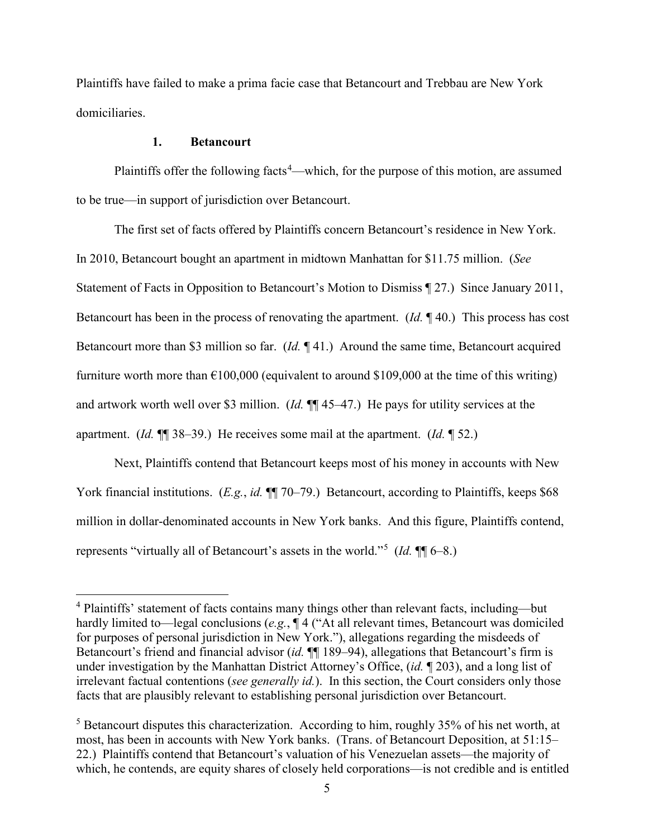Plaintiffs have failed to make a prima facie case that Betancourt and Trebbau are New York domiciliaries.

## **1. Betancourt**

 $\overline{a}$ 

Plaintiffs offer the following facts<sup>[4](#page-4-0)</sup>—which, for the purpose of this motion, are assumed to be true—in support of jurisdiction over Betancourt.

The first set of facts offered by Plaintiffs concern Betancourt's residence in New York. In 2010, Betancourt bought an apartment in midtown Manhattan for \$11.75 million. (*See*  Statement of Facts in Opposition to Betancourt's Motion to Dismiss ¶ 27.) Since January 2011, Betancourt has been in the process of renovating the apartment. (*Id.* ¶ 40.) This process has cost Betancourt more than \$3 million so far. (*Id.* ¶ 41.) Around the same time, Betancourt acquired furniture worth more than  $\epsilon$ 100,000 (equivalent to around \$109,000 at the time of this writing) and artwork worth well over \$3 million. (*Id.* ¶¶ 45–47.) He pays for utility services at the apartment. (*Id.* ¶¶ 38–39.) He receives some mail at the apartment. (*Id.* ¶ 52.)

Next, Plaintiffs contend that Betancourt keeps most of his money in accounts with New York financial institutions. (*E.g.*, *id.*  $\P\P$  70–79.) Betancourt, according to Plaintiffs, keeps \$68 million in dollar-denominated accounts in New York banks. And this figure, Plaintiffs contend, represents "virtually all of Betancourt's assets in the world."[5](#page-4-1) (*Id.* ¶¶ 6–8.)

<span id="page-4-0"></span><sup>4</sup> Plaintiffs' statement of facts contains many things other than relevant facts, including—but hardly limited to—legal conclusions (*e.g.*, ¶ 4 ("At all relevant times, Betancourt was domiciled for purposes of personal jurisdiction in New York."), allegations regarding the misdeeds of Betancourt's friend and financial advisor *(id.*  $\P$ [189–94), allegations that Betancourt's firm is under investigation by the Manhattan District Attorney's Office, (*id.* ¶ 203), and a long list of irrelevant factual contentions (*see generally id.*). In this section, the Court considers only those facts that are plausibly relevant to establishing personal jurisdiction over Betancourt.

<span id="page-4-1"></span><sup>&</sup>lt;sup>5</sup> Betancourt disputes this characterization. According to him, roughly 35% of his net worth, at most, has been in accounts with New York banks. (Trans. of Betancourt Deposition, at 51:15– 22.) Plaintiffs contend that Betancourt's valuation of his Venezuelan assets—the majority of which, he contends, are equity shares of closely held corporations—is not credible and is entitled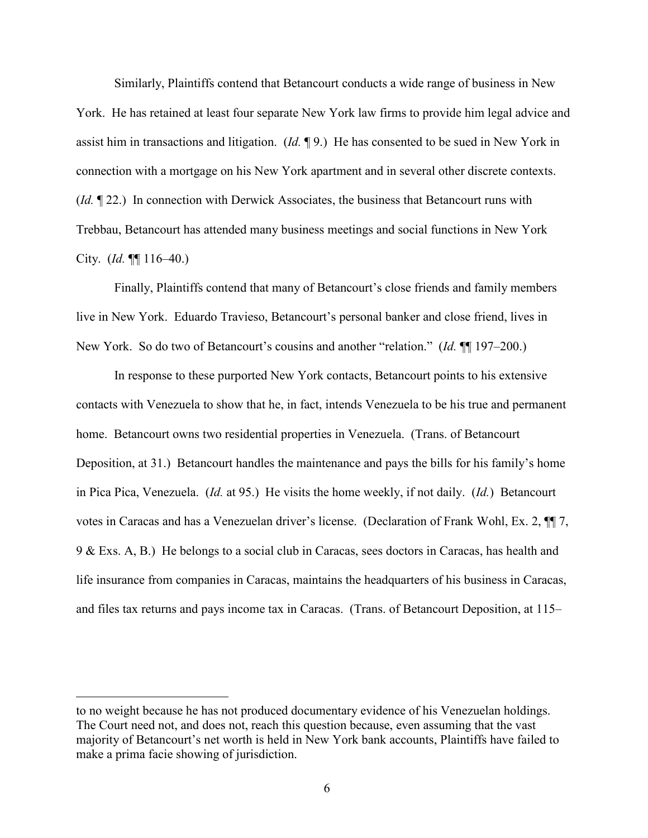Similarly, Plaintiffs contend that Betancourt conducts a wide range of business in New York. He has retained at least four separate New York law firms to provide him legal advice and assist him in transactions and litigation. (*Id.* ¶ 9.) He has consented to be sued in New York in connection with a mortgage on his New York apartment and in several other discrete contexts. (*Id.* ¶ 22.) In connection with Derwick Associates, the business that Betancourt runs with Trebbau, Betancourt has attended many business meetings and social functions in New York City. (*Id.* ¶¶ 116–40.)

 Finally, Plaintiffs contend that many of Betancourt's close friends and family members live in New York. Eduardo Travieso, Betancourt's personal banker and close friend, lives in New York. So do two of Betancourt's cousins and another "relation." (*Id.* ¶¶ 197–200.)

 In response to these purported New York contacts, Betancourt points to his extensive contacts with Venezuela to show that he, in fact, intends Venezuela to be his true and permanent home. Betancourt owns two residential properties in Venezuela. (Trans. of Betancourt Deposition, at 31.) Betancourt handles the maintenance and pays the bills for his family's home in Pica Pica, Venezuela. (*Id.* at 95.) He visits the home weekly, if not daily. (*Id.*) Betancourt votes in Caracas and has a Venezuelan driver's license. (Declaration of Frank Wohl, Ex. 2, ¶¶ 7, 9 & Exs. A, B.) He belongs to a social club in Caracas, sees doctors in Caracas, has health and life insurance from companies in Caracas, maintains the headquarters of his business in Caracas, and files tax returns and pays income tax in Caracas. (Trans. of Betancourt Deposition, at 115–

 $\overline{a}$ 

to no weight because he has not produced documentary evidence of his Venezuelan holdings. The Court need not, and does not, reach this question because, even assuming that the vast majority of Betancourt's net worth is held in New York bank accounts, Plaintiffs have failed to make a prima facie showing of jurisdiction.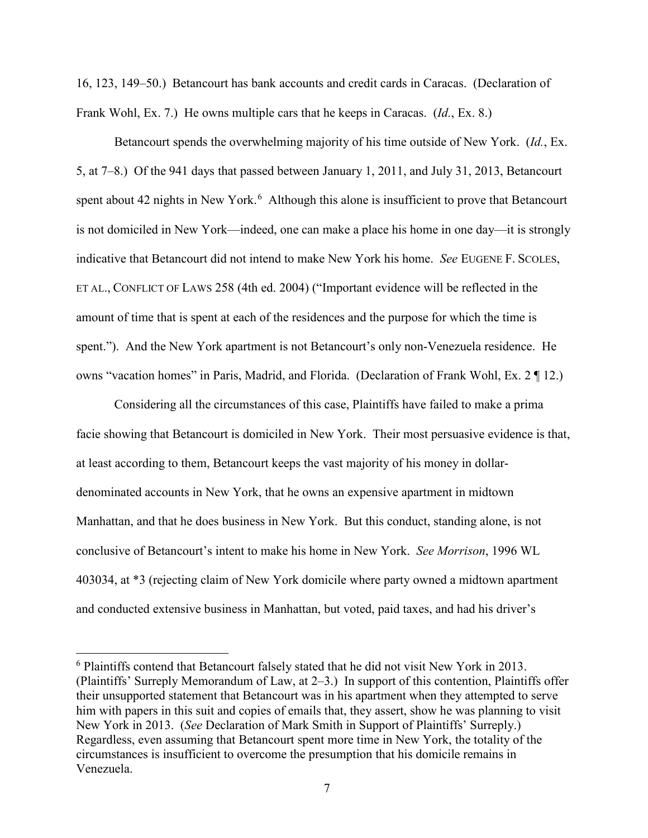16, 123, 149–50.) Betancourt has bank accounts and credit cards in Caracas. (Declaration of Frank Wohl, Ex. 7.) He owns multiple cars that he keeps in Caracas. (*Id.*, Ex. 8.)

Betancourt spends the overwhelming majority of his time outside of New York. (*Id.*, Ex. 5, at 7–8.) Of the 941 days that passed between January 1, 2011, and July 31, 2013, Betancourt spent about 42 nights in New York.<sup>[6](#page-6-0)</sup> Although this alone is insufficient to prove that Betancourt is not domiciled in New York—indeed, one can make a place his home in one day—it is strongly indicative that Betancourt did not intend to make New York his home. *See* EUGENE F. SCOLES, ET AL., CONFLICT OF LAWS 258 (4th ed. 2004) ("Important evidence will be reflected in the amount of time that is spent at each of the residences and the purpose for which the time is spent."). And the New York apartment is not Betancourt's only non-Venezuela residence. He owns "vacation homes" in Paris, Madrid, and Florida. (Declaration of Frank Wohl, Ex. 2 ¶ 12.)

Considering all the circumstances of this case, Plaintiffs have failed to make a prima facie showing that Betancourt is domiciled in New York. Their most persuasive evidence is that, at least according to them, Betancourt keeps the vast majority of his money in dollardenominated accounts in New York, that he owns an expensive apartment in midtown Manhattan, and that he does business in New York. But this conduct, standing alone, is not conclusive of Betancourt's intent to make his home in New York. *See Morrison*, 1996 WL 403034, at \*3 (rejecting claim of New York domicile where party owned a midtown apartment and conducted extensive business in Manhattan, but voted, paid taxes, and had his driver's

 $\overline{a}$ 

<span id="page-6-0"></span><sup>&</sup>lt;sup>6</sup> Plaintiffs contend that Betancourt falsely stated that he did not visit New York in 2013. (Plaintiffs' Surreply Memorandum of Law, at 2–3.) In support of this contention, Plaintiffs offer their unsupported statement that Betancourt was in his apartment when they attempted to serve him with papers in this suit and copies of emails that, they assert, show he was planning to visit New York in 2013. (*See* Declaration of Mark Smith in Support of Plaintiffs' Surreply.) Regardless, even assuming that Betancourt spent more time in New York, the totality of the circumstances is insufficient to overcome the presumption that his domicile remains in Venezuela.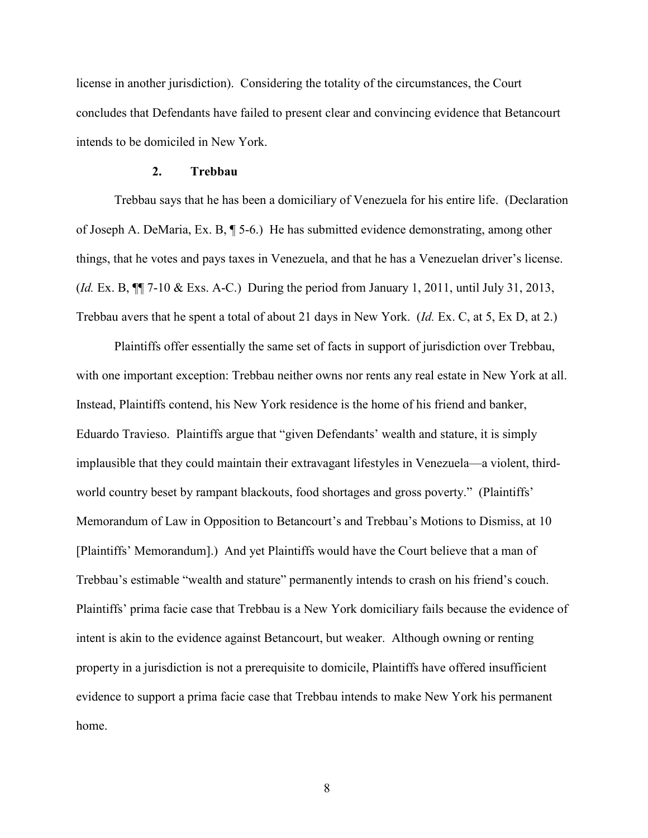license in another jurisdiction). Considering the totality of the circumstances, the Court concludes that Defendants have failed to present clear and convincing evidence that Betancourt intends to be domiciled in New York.

### **2. Trebbau**

 Trebbau says that he has been a domiciliary of Venezuela for his entire life. (Declaration of Joseph A. DeMaria, Ex. B, ¶ 5-6.) He has submitted evidence demonstrating, among other things, that he votes and pays taxes in Venezuela, and that he has a Venezuelan driver's license. (*Id.* Ex. B, ¶¶ 7-10 & Exs. A-C.) During the period from January 1, 2011, until July 31, 2013, Trebbau avers that he spent a total of about 21 days in New York. (*Id.* Ex. C, at 5, Ex D, at 2.)

Plaintiffs offer essentially the same set of facts in support of jurisdiction over Trebbau, with one important exception: Trebbau neither owns nor rents any real estate in New York at all. Instead, Plaintiffs contend, his New York residence is the home of his friend and banker, Eduardo Travieso. Plaintiffs argue that "given Defendants' wealth and stature, it is simply implausible that they could maintain their extravagant lifestyles in Venezuela—a violent, thirdworld country beset by rampant blackouts, food shortages and gross poverty." (Plaintiffs' Memorandum of Law in Opposition to Betancourt's and Trebbau's Motions to Dismiss, at 10 [Plaintiffs' Memorandum].) And yet Plaintiffs would have the Court believe that a man of Trebbau's estimable "wealth and stature" permanently intends to crash on his friend's couch. Plaintiffs' prima facie case that Trebbau is a New York domiciliary fails because the evidence of intent is akin to the evidence against Betancourt, but weaker. Although owning or renting property in a jurisdiction is not a prerequisite to domicile, Plaintiffs have offered insufficient evidence to support a prima facie case that Trebbau intends to make New York his permanent home.

8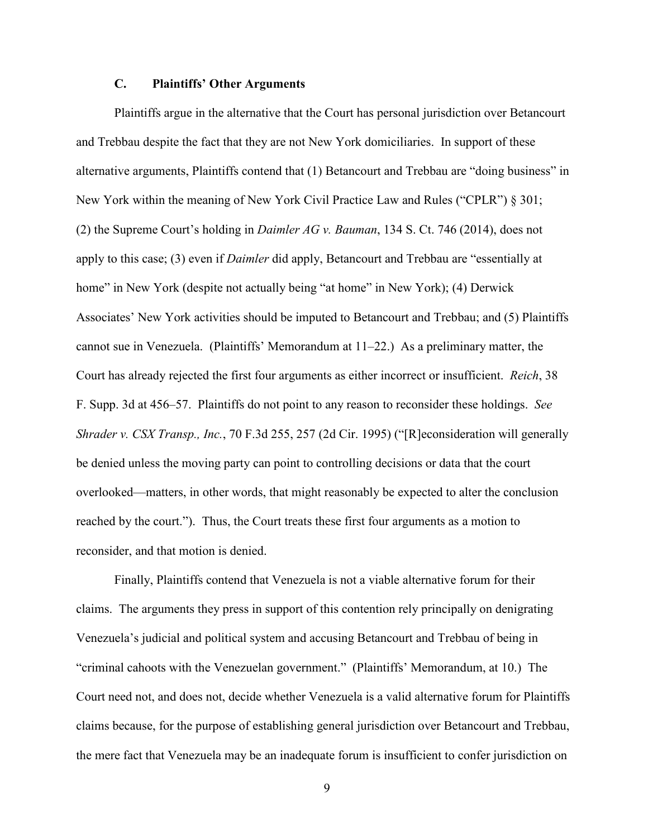# **C. Plaintiffs' Other Arguments**

 Plaintiffs argue in the alternative that the Court has personal jurisdiction over Betancourt and Trebbau despite the fact that they are not New York domiciliaries. In support of these alternative arguments, Plaintiffs contend that (1) Betancourt and Trebbau are "doing business" in New York within the meaning of New York Civil Practice Law and Rules ("CPLR") § 301; (2) the Supreme Court's holding in *Daimler AG v. Bauman*, 134 S. Ct. 746 (2014), does not apply to this case; (3) even if *Daimler* did apply, Betancourt and Trebbau are "essentially at home" in New York (despite not actually being "at home" in New York); (4) Derwick Associates' New York activities should be imputed to Betancourt and Trebbau; and (5) Plaintiffs cannot sue in Venezuela. (Plaintiffs' Memorandum at 11–22.) As a preliminary matter, the Court has already rejected the first four arguments as either incorrect or insufficient. *Reich*, 38 F. Supp. 3d at 456–57. Plaintiffs do not point to any reason to reconsider these holdings. *See Shrader v. CSX Transp., Inc.*, 70 F.3d 255, 257 (2d Cir. 1995) ("[R]econsideration will generally be denied unless the moving party can point to controlling decisions or data that the court overlooked—matters, in other words, that might reasonably be expected to alter the conclusion reached by the court."). Thus, the Court treats these first four arguments as a motion to reconsider, and that motion is denied.

Finally, Plaintiffs contend that Venezuela is not a viable alternative forum for their claims. The arguments they press in support of this contention rely principally on denigrating Venezuela's judicial and political system and accusing Betancourt and Trebbau of being in "criminal cahoots with the Venezuelan government." (Plaintiffs' Memorandum, at 10.) The Court need not, and does not, decide whether Venezuela is a valid alternative forum for Plaintiffs claims because, for the purpose of establishing general jurisdiction over Betancourt and Trebbau, the mere fact that Venezuela may be an inadequate forum is insufficient to confer jurisdiction on

9